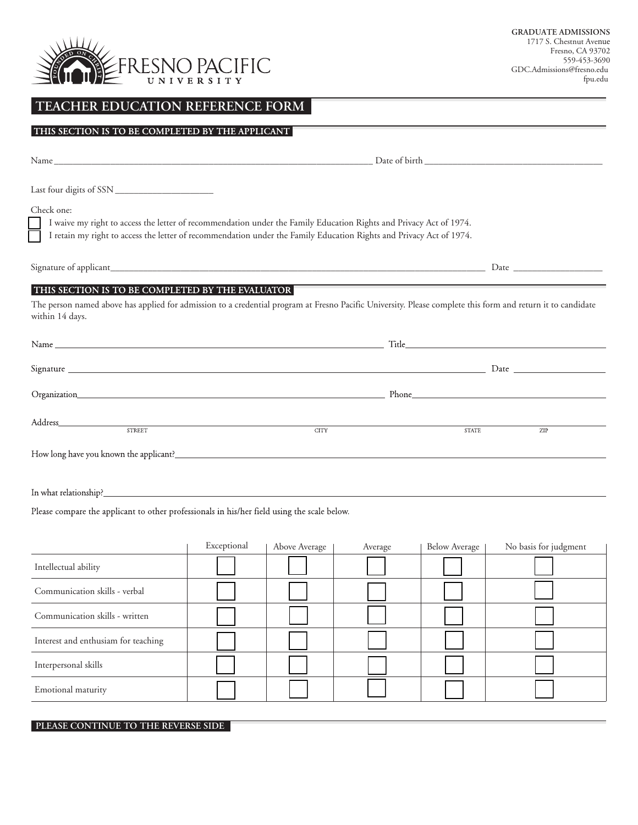

# **TEACHER EDUCATION REFERENCE FORM**

#### THIS SECTION IS TO BE COMPLETED BY THE APPLICANT

Name \_\_\_\_\_\_\_\_\_\_\_\_\_\_\_\_\_\_\_\_\_\_\_\_\_\_\_\_\_\_\_\_\_\_\_\_\_\_\_\_\_\_\_\_\_\_\_\_\_\_\_\_\_\_\_\_\_\_\_\_\_\_\_\_\_\_\_\_ Date of birth \_\_\_\_\_\_\_\_\_\_\_\_\_\_\_\_\_\_\_\_\_\_\_\_\_\_\_\_\_\_\_\_\_\_\_\_\_\_

Last four digits of SSN \_\_\_\_\_\_\_\_\_\_\_\_\_\_\_\_\_\_\_\_\_

Check one:

I waive my right to access the letter of recommendation under the Family Education Rights and Privacy Act of 1974.

I retain my right to access the letter of recommendation under the Family Education Rights and Privacy Act of 1974.

Signature of applicant\_\_\_\_\_\_\_\_\_\_\_\_\_\_\_\_\_\_\_\_\_\_\_\_\_\_\_\_\_\_\_\_\_\_\_\_\_\_\_\_\_\_\_\_\_\_\_\_\_\_\_\_\_\_\_\_\_\_\_\_\_\_\_\_\_\_\_\_\_\_\_\_\_\_\_\_\_\_\_\_ Date \_\_\_\_\_\_\_\_\_\_\_\_\_\_\_\_\_\_\_

## THIS SECTION IS TO BE COMPLETED BY THE EVALUATOR

The person named above has applied for admission to a credential program at Fresno Pacific University. Please complete this form and return it to candidate within 14 days.

|                                                                                                                                                                                                                                |                                                                                                                                                                                                                                |             | Title <b>that the contract of the contract of the contract of the contract of the contract of the contract of the contract of the contract of the contract of the contract of the contract of the contract of the contract of th</b> |  |     |
|--------------------------------------------------------------------------------------------------------------------------------------------------------------------------------------------------------------------------------|--------------------------------------------------------------------------------------------------------------------------------------------------------------------------------------------------------------------------------|-------------|--------------------------------------------------------------------------------------------------------------------------------------------------------------------------------------------------------------------------------------|--|-----|
|                                                                                                                                                                                                                                |                                                                                                                                                                                                                                |             |                                                                                                                                                                                                                                      |  |     |
|                                                                                                                                                                                                                                |                                                                                                                                                                                                                                |             | Phone <b><i>Phone</i></b>                                                                                                                                                                                                            |  |     |
|                                                                                                                                                                                                                                | Address and the contract of the contract of the contract of the contract of the contract of the contract of the contract of the contract of the contract of the contract of the contract of the contract of the contract of th |             |                                                                                                                                                                                                                                      |  |     |
|                                                                                                                                                                                                                                | <b>STREET</b>                                                                                                                                                                                                                  | <b>CITY</b> | <b>STATE</b>                                                                                                                                                                                                                         |  | ZIP |
| How long have you known the applicant? Notice that the contract of the contract of the contract of the contract of the contract of the contract of the contract of the contract of the contract of the contract of the contrac |                                                                                                                                                                                                                                |             |                                                                                                                                                                                                                                      |  |     |

Please compare the applicant to other professionals in his/her field using the scale below.

|                                     | Exceptional | Above Average | Average | <b>Below Average</b> | No basis for judgment |
|-------------------------------------|-------------|---------------|---------|----------------------|-----------------------|
| Intellectual ability                |             |               |         |                      |                       |
| Communication skills - verbal       |             |               |         |                      |                       |
| Communication skills - written      |             |               |         |                      |                       |
| Interest and enthusiam for teaching |             |               |         |                      |                       |
| Interpersonal skills                |             |               |         |                      |                       |
| Emotional maturity                  |             |               |         |                      |                       |

#### **PLEASE CONTINUE TO THE REVERSE SIDE**